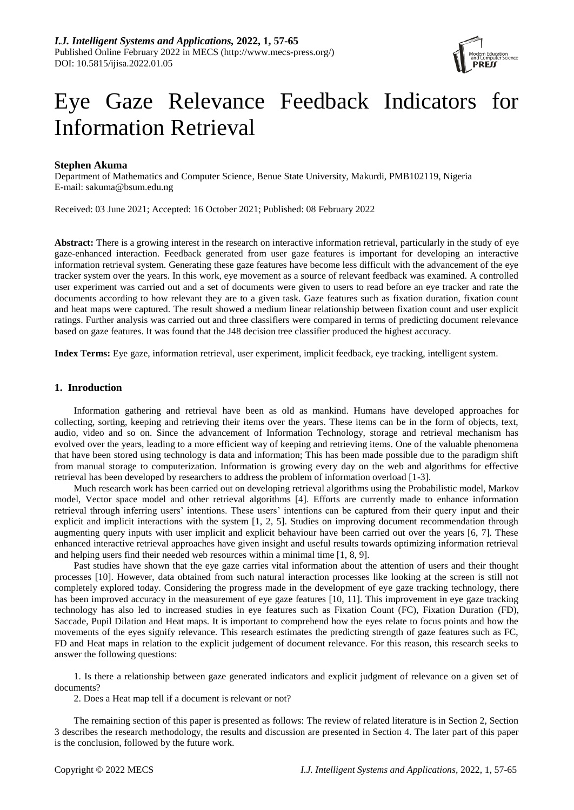

# Eye Gaze Relevance Feedback Indicators for Information Retrieval

# **Stephen Akuma**

Department of Mathematics and Computer Science, Benue State University, Makurdi, PMB102119, Nigeria E-mail: [sakuma@bsum.edu.ng](mailto:sakuma@bsum.edu.ng)

Received: 03 June 2021; Accepted: 16 October 2021; Published: 08 February 2022

**Abstract:** There is a growing interest in the research on interactive information retrieval, particularly in the study of eye gaze-enhanced interaction. Feedback generated from user gaze features is important for developing an interactive information retrieval system. Generating these gaze features have become less difficult with the advancement of the eye tracker system over the years. In this work, eye movement as a source of relevant feedback was examined. A controlled user experiment was carried out and a set of documents were given to users to read before an eye tracker and rate the documents according to how relevant they are to a given task. Gaze features such as fixation duration, fixation count and heat maps were captured. The result showed a medium linear relationship between fixation count and user explicit ratings. Further analysis was carried out and three classifiers were compared in terms of predicting document relevance based on gaze features. It was found that the J48 decision tree classifier produced the highest accuracy.

**Index Terms:** Eye gaze, information retrieval, user experiment, implicit feedback, eye tracking, intelligent system.

## **1. Inroduction**

Information gathering and retrieval have been as old as mankind. Humans have developed approaches for collecting, sorting, keeping and retrieving their items over the years. These items can be in the form of objects, text, audio, video and so on. Since the advancement of Information Technology, storage and retrieval mechanism has evolved over the years, leading to a more efficient way of keeping and retrieving items. One of the valuable phenomena that have been stored using technology is data and information; This has been made possible due to the paradigm shift from manual storage to computerization. Information is growing every day on the web and algorithms for effective retrieval has been developed by researchers to address the problem of information overload [1-3].

Much research work has been carried out on developing retrieval algorithms using the Probabilistic model, Markov model, Vector space model and other retrieval algorithms [4]. Efforts are currently made to enhance information retrieval through inferring users' intentions. These users' intentions can be captured from their query input and their explicit and implicit interactions with the system [1, 2, 5]. Studies on improving document recommendation through augmenting query inputs with user implicit and explicit behaviour have been carried out over the years [6, 7]. These enhanced interactive retrieval approaches have given insight and useful results towards optimizing information retrieval and helping users find their needed web resources within a minimal time [1, 8, 9].

Past studies have shown that the eye gaze carries vital information about the attention of users and their thought processes [10]. However, data obtained from such natural interaction processes like looking at the screen is still not completely explored today. Considering the progress made in the development of eye gaze tracking technology, there has been improved accuracy in the measurement of eye gaze features [10, 11]. This improvement in eye gaze tracking technology has also led to increased studies in eye features such as Fixation Count (FC), Fixation Duration (FD), Saccade, Pupil Dilation and Heat maps. It is important to comprehend how the eyes relate to focus points and how the movements of the eyes signify relevance. This research estimates the predicting strength of gaze features such as FC, FD and Heat maps in relation to the explicit judgement of document relevance. For this reason, this research seeks to answer the following questions:

1. Is there a relationship between gaze generated indicators and explicit judgment of relevance on a given set of documents?

2. Does a Heat map tell if a document is relevant or not?

The remaining section of this paper is presented as follows: The review of related literature is in Section 2, Section 3 describes the research methodology, the results and discussion are presented in Section 4. The later part of this paper is the conclusion, followed by the future work.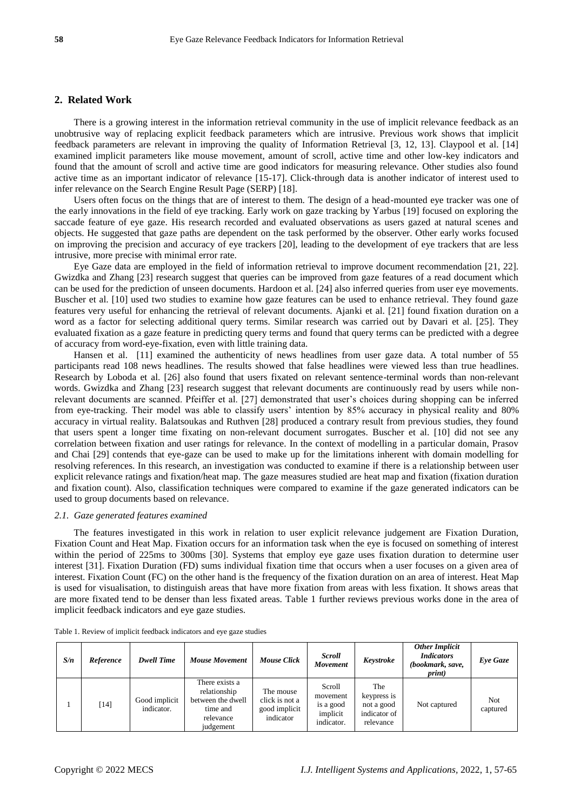# **2. Related Work**

There is a growing interest in the information retrieval community in the use of implicit relevance feedback as an unobtrusive way of replacing explicit feedback parameters which are intrusive. Previous work shows that implicit feedback parameters are relevant in improving the quality of Information Retrieval [3, 12, 13]. Claypool et al. [14] examined implicit parameters like mouse movement, amount of scroll, active time and other low-key indicators and found that the amount of scroll and active time are good indicators for measuring relevance. Other studies also found active time as an important indicator of relevance [15-17]. Click-through data is another indicator of interest used to infer relevance on the Search Engine Result Page (SERP) [18].

Users often focus on the things that are of interest to them. The design of a head-mounted eye tracker was one of the early innovations in the field of eye tracking. Early work on gaze tracking by Yarbus [19] focused on exploring the saccade feature of eye gaze. His research recorded and evaluated observations as users gazed at natural scenes and objects. He suggested that gaze paths are dependent on the task performed by the observer. Other early works focused on improving the precision and accuracy of eye trackers [20], leading to the development of eye trackers that are less intrusive, more precise with minimal error rate.

Eye Gaze data are employed in the field of information retrieval to improve document recommendation [21, 22]. Gwizdka and Zhang [23] research suggest that queries can be improved from gaze features of a read document which can be used for the prediction of unseen documents. Hardoon et al. [24] also inferred queries from user eye movements. Buscher et al. [10] used two studies to examine how gaze features can be used to enhance retrieval. They found gaze features very useful for enhancing the retrieval of relevant documents. Ajanki et al. [21] found fixation duration on a word as a factor for selecting additional query terms. Similar research was carried out by Davari et al. [25]. They evaluated fixation as a gaze feature in predicting query terms and found that query terms can be predicted with a degree of accuracy from word-eye-fixation, even with little training data.

Hansen et al. [11] examined the authenticity of news headlines from user gaze data. A total number of 55 participants read 108 news headlines. The results showed that false headlines were viewed less than true headlines. Research by Loboda et al. [26] also found that users fixated on relevant sentence-terminal words than non-relevant words. Gwizdka and Zhang [23] research suggest that relevant documents are continuously read by users while nonrelevant documents are scanned. Pfeiffer et al. [27] demonstrated that user's choices during shopping can be inferred from eye-tracking. Their model was able to classify users' intention by 85% accuracy in physical reality and 80% accuracy in virtual reality. Balatsoukas and Ruthven [28] produced a contrary result from previous studies, they found that users spent a longer time fixating on non-relevant document surrogates. Buscher et al. [10] did not see any correlation between fixation and user ratings for relevance. In the context of modelling in a particular domain, Prasov and Chai [29] contends that eye-gaze can be used to make up for the limitations inherent with domain modelling for resolving references. In this research, an investigation was conducted to examine if there is a relationship between user explicit relevance ratings and fixation/heat map. The gaze measures studied are heat map and fixation (fixation duration and fixation count). Also, classification techniques were compared to examine if the gaze generated indicators can be used to group documents based on relevance.

#### *2.1. Gaze generated features examined*

The features investigated in this work in relation to user explicit relevance judgement are Fixation Duration, Fixation Count and Heat Map. Fixation occurs for an information task when the eye is focused on something of interest within the period of 225ms to 300ms [30]. Systems that employ eye gaze uses fixation duration to determine user interest [31]. Fixation Duration (FD) sums individual fixation time that occurs when a user focuses on a given area of interest. Fixation Count (FC) on the other hand is the frequency of the fixation duration on an area of interest. Heat Map is used for visualisation, to distinguish areas that have more fixation from areas with less fixation. It shows areas that are more fixated tend to be denser than less fixated areas. Table 1 further reviews previous works done in the area of implicit feedback indicators and eye gaze studies.

| S/n | Reference | <b>Dwell Time</b>           | <b>Mouse Movement</b>                                                                     | <b>Mouse Click</b>                                        | <b>Scroll</b><br>Movement                                 | Keystroke                                                     | <b>Other Implicit</b><br><b>Indicators</b><br>(bookmark, save,<br><i>print</i> ) | Eve Gaze        |
|-----|-----------|-----------------------------|-------------------------------------------------------------------------------------------|-----------------------------------------------------------|-----------------------------------------------------------|---------------------------------------------------------------|----------------------------------------------------------------------------------|-----------------|
|     | $[14]$    | Good implicit<br>indicator. | There exists a<br>relationship<br>between the dwell<br>time and<br>relevance<br>judgement | The mouse<br>click is not a<br>good implicit<br>indicator | Scroll<br>movement<br>is a good<br>implicit<br>indicator. | The<br>keypress is<br>not a good<br>indicator of<br>relevance | Not captured                                                                     | Not<br>captured |

Table 1. Review of implicit feedback indicators and eye gaze studies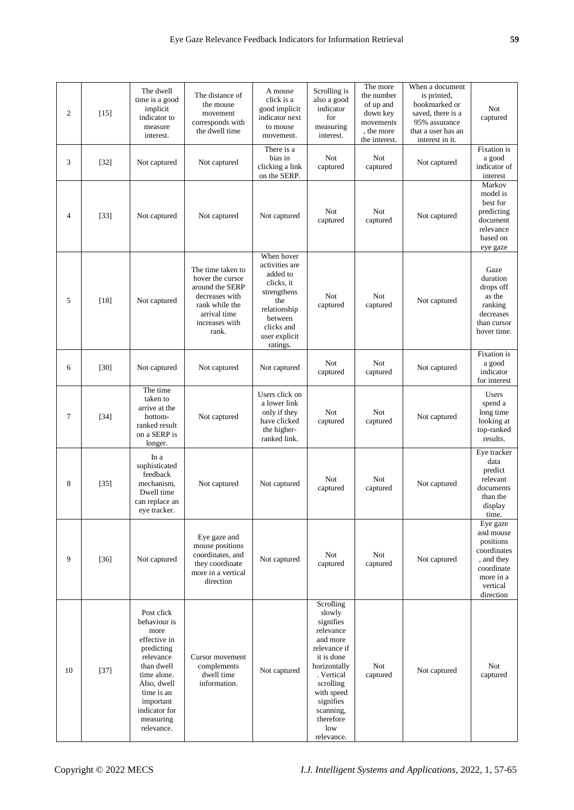| $\mathfrak{2}$ | $[15]$ | The dwell<br>time is a good<br>implicit<br>indicator to<br>measure<br>interest.                                                                                                                  | The distance of<br>the mouse<br>movement<br>corresponds with<br>the dwell time                                                          | A mouse<br>click is a<br>good implicit<br>indicator next<br>to mouse<br>movement.                                                                  | Scrolling is<br>also a good<br>indicator<br>for<br>measuring<br>interest.                                                                                                                                    | The more<br>the number<br>of up and<br>down key<br>movements<br>, the more<br>the interest. | When a document<br>is printed,<br>bookmarked or<br>saved, there is a<br>95% assurance<br>that a user has an<br>interest in it. | Not<br>captured                                                                                                     |
|----------------|--------|--------------------------------------------------------------------------------------------------------------------------------------------------------------------------------------------------|-----------------------------------------------------------------------------------------------------------------------------------------|----------------------------------------------------------------------------------------------------------------------------------------------------|--------------------------------------------------------------------------------------------------------------------------------------------------------------------------------------------------------------|---------------------------------------------------------------------------------------------|--------------------------------------------------------------------------------------------------------------------------------|---------------------------------------------------------------------------------------------------------------------|
| 3              | $[32]$ | Not captured                                                                                                                                                                                     | Not captured                                                                                                                            | There is a<br>bias in<br>clicking a link<br>on the SERP.                                                                                           | Not<br>captured                                                                                                                                                                                              | <b>Not</b><br>captured                                                                      | Not captured                                                                                                                   | Fixation is<br>a good<br>indicator of<br>interest                                                                   |
| $\overline{4}$ | $[33]$ | Not captured                                                                                                                                                                                     | Not captured                                                                                                                            | Not captured                                                                                                                                       | Not<br>captured                                                                                                                                                                                              | Not<br>captured                                                                             | Not captured                                                                                                                   | Markov<br>model is<br>best for<br>predicting<br>document<br>relevance<br>based on<br>eye gaze                       |
| 5              | [18]   | Not captured                                                                                                                                                                                     | The time taken to<br>hover the cursor<br>around the SERP<br>decreases with<br>rank while the<br>arrival time<br>increases with<br>rank. | When hover<br>activities are<br>added to<br>clicks, it<br>strengthens<br>the<br>relationship<br>between<br>clicks and<br>user explicit<br>ratings. | Not<br>captured                                                                                                                                                                                              | Not<br>captured                                                                             | Not captured                                                                                                                   | Gaze<br>duration<br>drops off<br>as the<br>ranking<br>decreases<br>than cursor<br>hover time.                       |
| 6              | $[30]$ | Not captured                                                                                                                                                                                     | Not captured                                                                                                                            | Not captured                                                                                                                                       | Not<br>captured                                                                                                                                                                                              | <b>Not</b><br>captured                                                                      | Not captured                                                                                                                   | Fixation is<br>a good<br>indicator<br>for interest                                                                  |
| $\overline{7}$ | $[34]$ | The time<br>taken to<br>arrive at the<br>bottom-<br>ranked result<br>on a SERP is<br>longer.                                                                                                     | Not captured                                                                                                                            | Users click on<br>a lower link<br>only if they<br>have clicked<br>the higher-<br>ranked link.                                                      | Not<br>captured                                                                                                                                                                                              | <b>Not</b><br>captured                                                                      | Not captured                                                                                                                   | Users<br>spend a<br>long time<br>looking at<br>top-ranked<br>results.                                               |
| 8              | $[35]$ | In a<br>sophisticated<br>feedback<br>mechanism,<br>Dwell time<br>can replace an<br>eye tracker.                                                                                                  | Not captured                                                                                                                            | Not captured                                                                                                                                       | <b>Not</b><br>captured                                                                                                                                                                                       | <b>Not</b><br>captured                                                                      | Not captured                                                                                                                   | Eye tracker<br>data<br>predict<br>relevant<br>documents<br>than the<br>display<br>time.                             |
| 9              | $[36]$ | Not captured                                                                                                                                                                                     | Eye gaze and<br>mouse positions<br>coordinates, and<br>they coordinate<br>more in a vertical<br>direction                               | Not captured                                                                                                                                       | <b>Not</b><br>captured                                                                                                                                                                                       | Not<br>captured                                                                             | Not captured                                                                                                                   | Eye gaze<br>and mouse<br>positions<br>coordinates<br>, and they<br>coordinate<br>more in a<br>vertical<br>direction |
| 10             | $[37]$ | Post click<br>behaviour is<br>more<br>effective in<br>predicting<br>relevance<br>than dwell<br>time alone.<br>Also, dwell<br>time is an<br>important<br>indicator for<br>measuring<br>relevance. | Cursor movement<br>complements<br>dwell time<br>information.                                                                            | Not captured                                                                                                                                       | Scrolling<br>slowly<br>signifies<br>relevance<br>and more<br>relevance if<br>it is done<br>horizontally<br>. Vertical<br>scrolling<br>with speed<br>signifies<br>scanning,<br>therefore<br>low<br>relevance. | Not<br>captured                                                                             | Not captured                                                                                                                   | Not<br>captured                                                                                                     |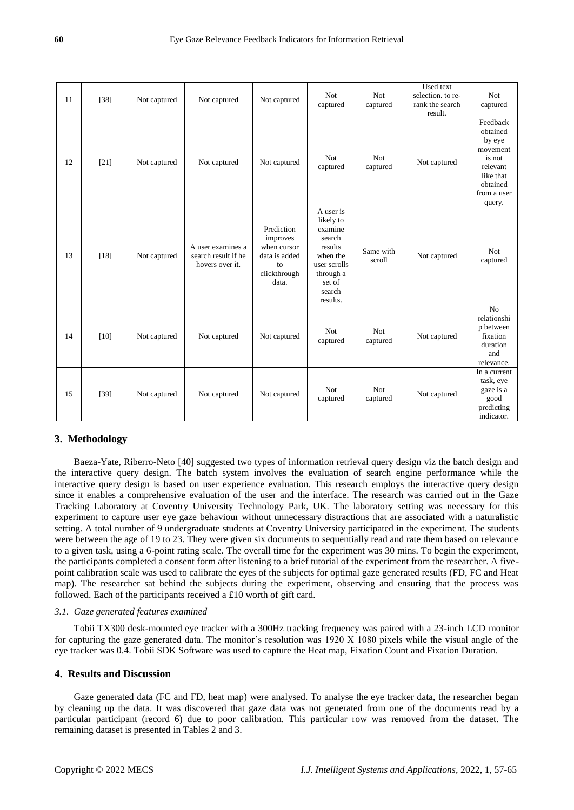| 11 | $[38]$ | Not captured | Not captured                                                | Not captured                                                                          | <b>Not</b><br>captured                                                                                                          | <b>Not</b><br>captured | Used text<br>selection. to re-<br>rank the search<br>result. | <b>Not</b><br>captured                                                                                             |
|----|--------|--------------|-------------------------------------------------------------|---------------------------------------------------------------------------------------|---------------------------------------------------------------------------------------------------------------------------------|------------------------|--------------------------------------------------------------|--------------------------------------------------------------------------------------------------------------------|
| 12 | $[21]$ | Not captured | Not captured                                                | Not captured                                                                          | <b>Not</b><br>captured                                                                                                          | Not<br>captured        | Not captured                                                 | Feedback<br>obtained<br>by eye<br>movement<br>is not<br>relevant<br>like that<br>obtained<br>from a user<br>query. |
| 13 | $[18]$ | Not captured | A user examines a<br>search result if he<br>hovers over it. | Prediction<br>improves<br>when cursor<br>data is added<br>to<br>clickthrough<br>data. | A user is<br>likely to<br>examine<br>search<br>results<br>when the<br>user scrolls<br>through a<br>set of<br>search<br>results. | Same with<br>scroll    | Not captured                                                 | <b>Not</b><br>captured                                                                                             |
| 14 | $[10]$ | Not captured | Not captured                                                | Not captured                                                                          | Not<br>captured                                                                                                                 | Not<br>captured        | Not captured                                                 | $\overline{No}$<br>relationshi<br>p between<br>fixation<br>duration<br>and<br>relevance.                           |
| 15 | $[39]$ | Not captured | Not captured                                                | Not captured                                                                          | <b>Not</b><br>captured                                                                                                          | Not<br>captured        | Not captured                                                 | In a current<br>task, eye<br>gaze is a<br>good<br>predicting<br>indicator.                                         |

# **3. Methodology**

Baeza-Yate, Riberro-Neto [40] suggested two types of information retrieval query design viz the batch design and the interactive query design. The batch system involves the evaluation of search engine performance while the interactive query design is based on user experience evaluation. This research employs the interactive query design since it enables a comprehensive evaluation of the user and the interface. The research was carried out in the Gaze Tracking Laboratory at Coventry University Technology Park, UK. The laboratory setting was necessary for this experiment to capture user eye gaze behaviour without unnecessary distractions that are associated with a naturalistic setting. A total number of 9 undergraduate students at Coventry University participated in the experiment. The students were between the age of 19 to 23. They were given six documents to sequentially read and rate them based on relevance to a given task, using a 6-point rating scale. The overall time for the experiment was 30 mins. To begin the experiment, the participants completed a consent form after listening to a brief tutorial of the experiment from the researcher. A fivepoint calibration scale was used to calibrate the eyes of the subjects for optimal gaze generated results (FD, FC and Heat map). The researcher sat behind the subjects during the experiment, observing and ensuring that the process was followed. Each of the participants received a £10 worth of gift card.

#### *3.1. Gaze generated features examined*

Tobii TX300 desk-mounted eye tracker with a 300Hz tracking frequency was paired with a 23-inch LCD monitor for capturing the gaze generated data. The monitor's resolution was 1920 X 1080 pixels while the visual angle of the eye tracker was 0.4. Tobii SDK Software was used to capture the Heat map, Fixation Count and Fixation Duration.

# **4. Results and Discussion**

Gaze generated data (FC and FD, heat map) were analysed. To analyse the eye tracker data, the researcher began by cleaning up the data. It was discovered that gaze data was not generated from one of the documents read by a particular participant (record 6) due to poor calibration. This particular row was removed from the dataset. The remaining dataset is presented in Tables 2 and 3.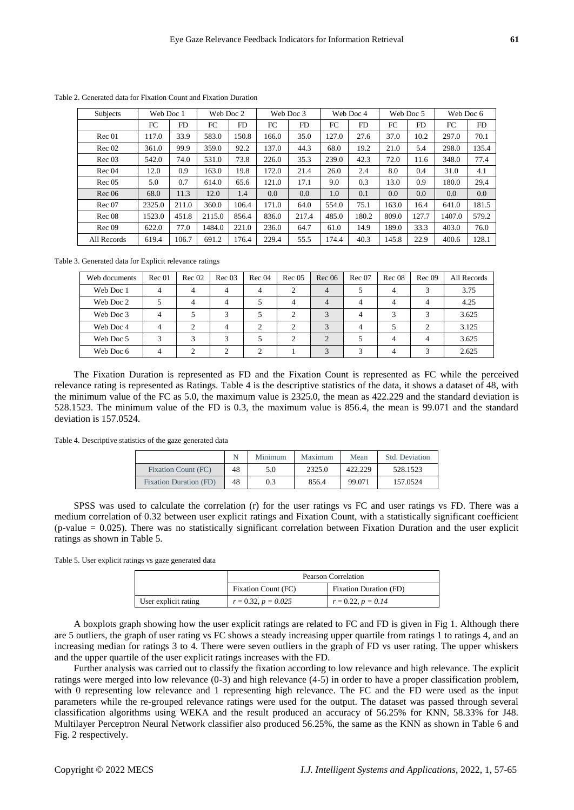| <b>Subjects</b> | Web Doc 1 |       | Web Doc 2 |       | Web Doc 3 |       |       | Web Doc 4 |       | Web Doc 5 | Web Doc 6 |       |
|-----------------|-----------|-------|-----------|-------|-----------|-------|-------|-----------|-------|-----------|-----------|-------|
|                 | FC        | FD    | FC        | FD    | FC        | FD    | FC    | FD        | FC    | FD.       | FC        | FD    |
| Rec 01          | 117.0     | 33.9  | 583.0     | 150.8 | 166.0     | 35.0  | 127.0 | 27.6      | 37.0  | 10.2      | 297.0     | 70.1  |
| Rec 02          | 361.0     | 99.9  | 359.0     | 92.2  | 137.0     | 44.3  | 68.0  | 19.2      | 21.0  | 5.4       | 298.0     | 135.4 |
| Rec 03          | 542.0     | 74.0  | 531.0     | 73.8  | 226.0     | 35.3  | 239.0 | 42.3      | 72.0  | 11.6      | 348.0     | 77.4  |
| Rec 04          | 12.0      | 0.9   | 163.0     | 19.8  | 172.0     | 21.4  | 26.0  | 2.4       | 8.0   | 0.4       | 31.0      | 4.1   |
| Rec 05          | 5.0       | 0.7   | 614.0     | 65.6  | 121.0     | 17.1  | 9.0   | 0.3       | 13.0  | 0.9       | 180.0     | 29.4  |
| Rec 06          | 68.0      | 11.3  | 12.0      | 1.4   | 0.0       | 0.0   | 1.0   | 0.1       | 0.0   | 0.0       | 0.0       | 0.0   |
| Rec07           | 2325.0    | 211.0 | 360.0     | 106.4 | 171.0     | 64.0  | 554.0 | 75.1      | 163.0 | 16.4      | 641.0     | 181.5 |
| Rec 08          | 1523.0    | 451.8 | 2115.0    | 856.4 | 836.0     | 217.4 | 485.0 | 180.2     | 809.0 | 127.7     | 1407.0    | 579.2 |
| Rec09           | 622.0     | 77.0  | 1484.0    | 221.0 | 236.0     | 64.7  | 61.0  | 14.9      | 189.0 | 33.3      | 403.0     | 76.0  |
| All Records     | 619.4     | 106.7 | 691.2     | 176.4 | 229.4     | 55.5  | 174.4 | 40.3      | 145.8 | 22.9      | 400.6     | 128.1 |

Table 2. Generated data for Fixation Count and Fixation Duration

Table 3. Generated data for Explicit relevance ratings

| Web documents | Rec 01         | Rec 02 | Rec 03         | Rec 04         | Rec05 | Rec 06         | Rec 07         | Rec 08   | Rec09 | All Records |
|---------------|----------------|--------|----------------|----------------|-------|----------------|----------------|----------|-------|-------------|
| Web Doc 1     | 4              | 4      | 4              | $\overline{4}$ |       | $\overline{4}$ |                | 4        |       | 3.75        |
| Web Doc 2     |                | 4      | 4              |                | 4     | $\overline{4}$ | 4              | 4        | 4     | 4.25        |
| Web Doc 3     | $\overline{4}$ |        |                |                |       |                | $\overline{4}$ |          |       | 3.625       |
| Web Doc 4     | $\overline{4}$ |        | $\overline{4}$ |                |       |                | 4              |          |       | 3.125       |
| Web Doc 5     |                |        |                |                |       |                |                |          |       | 3.625       |
| Web Doc 6     | 4              |        |                |                |       |                |                | $\Delta$ |       | 2.625       |

The Fixation Duration is represented as FD and the Fixation Count is represented as FC while the perceived relevance rating is represented as Ratings. Table 4 is the descriptive statistics of the data, it shows a dataset of 48, with the minimum value of the FC as 5.0, the maximum value is 2325.0, the mean as 422.229 and the standard deviation is 528.1523. The minimum value of the FD is 0.3, the maximum value is 856.4, the mean is 99.071 and the standard deviation is 157.0524.

Table 4. Descriptive statistics of the gaze generated data

|                               |    | Minimum | Maximum | Mean    | <b>Std. Deviation</b> |
|-------------------------------|----|---------|---------|---------|-----------------------|
| Fixation Count (FC)           | 48 | 5.0     | 2325.0  | 422.229 | 528.1523              |
| <b>Fixation Duration (FD)</b> | 48 | 0.3     | 856.4   | 99.071  | 157.0524              |

SPSS was used to calculate the correlation (r) for the user ratings vs FC and user ratings vs FD. There was a medium correlation of 0.32 between user explicit ratings and Fixation Count, with a statistically significant coefficient (p-value = 0.025). There was no statistically significant correlation between Fixation Duration and the user explicit ratings as shown in Table 5.

Table 5. User explicit ratings vs gaze generated data

|                      |                       | Pearson Correlation           |
|----------------------|-----------------------|-------------------------------|
|                      | Fixation Count (FC)   | <b>Fixation Duration (FD)</b> |
| User explicit rating | $r = 0.32, p = 0.025$ | $r = 0.22, p = 0.14$          |

A boxplots graph showing how the user explicit ratings are related to FC and FD is given in Fig 1. Although there are 5 outliers, the graph of user rating vs FC shows a steady increasing upper quartile from ratings 1 to ratings 4, and an increasing median for ratings 3 to 4. There were seven outliers in the graph of FD vs user rating. The upper whiskers and the upper quartile of the user explicit ratings increases with the FD.

Further analysis was carried out to classify the fixation according to low relevance and high relevance. The explicit ratings were merged into low relevance (0-3) and high relevance (4-5) in order to have a proper classification problem, with 0 representing low relevance and 1 representing high relevance. The FC and the FD were used as the input parameters while the re-grouped relevance ratings were used for the output. The dataset was passed through several classification algorithms using WEKA and the result produced an accuracy of 56.25% for KNN, 58.33% for J48. Multilayer Perceptron Neural Network classifier also produced 56.25%, the same as the KNN as shown in Table 6 and Fig. 2 respectively.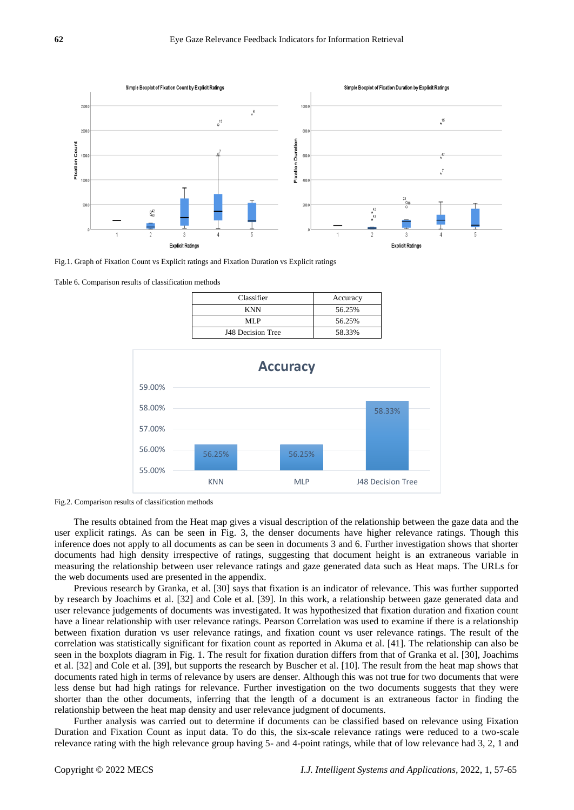

Fig.1. Graph of Fixation Count vs Explicit ratings and Fixation Duration vs Explicit ratings

Table 6. Comparison results of classification methods

| Classifier        | Accuracy |
|-------------------|----------|
| <b>KNN</b>        | 56.25%   |
| ML P              | 56.25%   |
| J48 Decision Tree | 58.33%   |



Fig.2. Comparison results of classification methods

The results obtained from the Heat map gives a visual description of the relationship between the gaze data and the user explicit ratings. As can be seen in Fig. 3, the denser documents have higher relevance ratings. Though this inference does not apply to all documents as can be seen in documents 3 and 6. Further investigation shows that shorter documents had high density irrespective of ratings, suggesting that document height is an extraneous variable in measuring the relationship between user relevance ratings and gaze generated data such as Heat maps. The URLs for the web documents used are presented in the appendix.

Previous research by Granka, et al. [30] says that fixation is an indicator of relevance. This was further supported by research by Joachims et al. [32] and Cole et al. [39]. In this work, a relationship between gaze generated data and user relevance judgements of documents was investigated. It was hypothesized that fixation duration and fixation count have a linear relationship with user relevance ratings. Pearson Correlation was used to examine if there is a relationship between fixation duration vs user relevance ratings, and fixation count vs user relevance ratings. The result of the correlation was statistically significant for fixation count as reported in Akuma et al. [41]. The relationship can also be seen in the boxplots diagram in Fig. 1. The result for fixation duration differs from that of Granka et al. [30], Joachims et al. [32] and Cole et al. [39], but supports the research by Buscher et al. [10]. The result from the heat map shows that documents rated high in terms of relevance by users are denser. Although this was not true for two documents that were less dense but had high ratings for relevance. Further investigation on the two documents suggests that they were shorter than the other documents, inferring that the length of a document is an extraneous factor in finding the relationship between the heat map density and user relevance judgment of documents.

Further analysis was carried out to determine if documents can be classified based on relevance using Fixation Duration and Fixation Count as input data. To do this, the six-scale relevance ratings were reduced to a two-scale relevance rating with the high relevance group having 5- and 4-point ratings, while that of low relevance had 3, 2, 1 and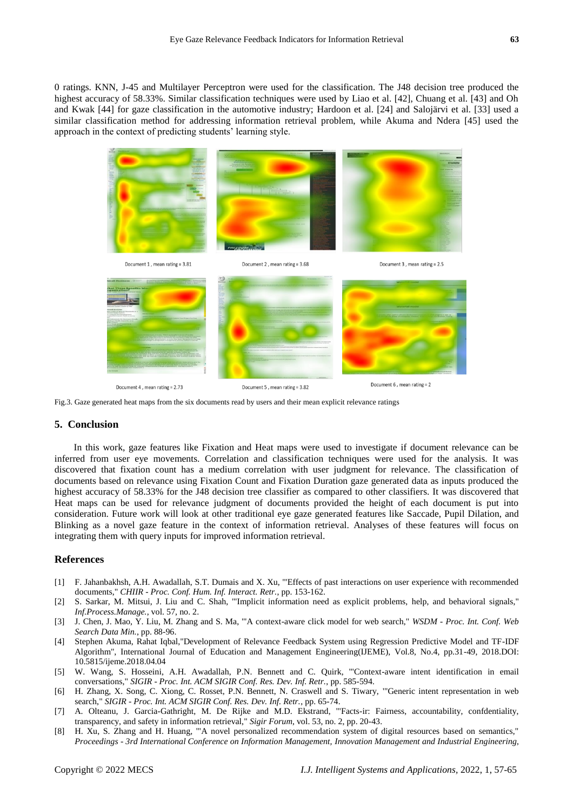0 ratings. KNN, J-45 and Multilayer Perceptron were used for the classification. The J48 decision tree produced the highest accuracy of 58.33%. Similar classification techniques were used by Liao et al. [42], Chuang et al. [43] and Oh and Kwak [44] for gaze classification in the automotive industry; Hardoon et al. [24] and Salojärvi et al. [33] used a similar classification method for addressing information retrieval problem, while Akuma and Ndera [45] used the approach in the context of predicting students' learning style.



Fig.3. Gaze generated heat maps from the six documents read by users and their mean explicit relevance ratings

# **5. Conclusion**

In this work, gaze features like Fixation and Heat maps were used to investigate if document relevance can be inferred from user eye movements. Correlation and classification techniques were used for the analysis. It was discovered that fixation count has a medium correlation with user judgment for relevance. The classification of documents based on relevance using Fixation Count and Fixation Duration gaze generated data as inputs produced the highest accuracy of 58.33% for the J48 decision tree classifier as compared to other classifiers. It was discovered that Heat maps can be used for relevance judgment of documents provided the height of each document is put into consideration. Future work will look at other traditional eye gaze generated features like Saccade, Pupil Dilation, and Blinking as a novel gaze feature in the context of information retrieval. Analyses of these features will focus on integrating them with query inputs for improved information retrieval.

#### **References**

- [1] F. Jahanbakhsh, A.H. Awadallah, S.T. Dumais and X. Xu, '"Effects of past interactions on user experience with recommended documents," *CHIIR - Proc. Conf. Hum. Inf. Interact. Retr.*, pp. 153-162.
- [2] S. Sarkar, M. Mitsui, J. Liu and C. Shah, '"Implicit information need as explicit problems, help, and behavioral signals," *Inf.Process.Manage.*, vol. 57, no. 2.
- [3] J. Chen, J. Mao, Y. Liu, M. Zhang and S. Ma, '"A context-aware click model for web search," *WSDM - Proc. Int. Conf. Web Search Data Min.*, pp. 88-96.
- [4] Stephen Akuma, Rahat Iqbal,"Development of Relevance Feedback System using Regression Predictive Model and TF-IDF Algorithm", International Journal of Education and Management Engineering(IJEME), Vol.8, No.4, pp.31-49, 2018.DOI: 10.5815/ijeme.2018.04.04
- [5] W. Wang, S. Hosseini, A.H. Awadallah, P.N. Bennett and C. Quirk, '"Context-aware intent identification in email conversations," *SIGIR - Proc. Int. ACM SIGIR Conf. Res. Dev. Inf. Retr.*, pp. 585-594.
- [6] H. Zhang, X. Song, C. Xiong, C. Rosset, P.N. Bennett, N. Craswell and S. Tiwary, '"Generic intent representation in web search," *SIGIR - Proc. Int. ACM SIGIR Conf. Res. Dev. Inf. Retr.*, pp. 65-74.
- [7] A. Olteanu, J. Garcia-Gathright, M. De Rijke and M.D. Ekstrand, '"Facts-ir: Fairness, accountability, confdentiality, transparency, and safety in information retrieval," *Sigir Forum*, vol. 53, no. 2, pp. 20-43.
- [8] H. Xu, S. Zhang and H. Huang, '"A novel personalized recommendation system of digital resources based on semantics," *Proceedings - 3rd International Conference on Information Management, Innovation Management and Industrial Engineering,*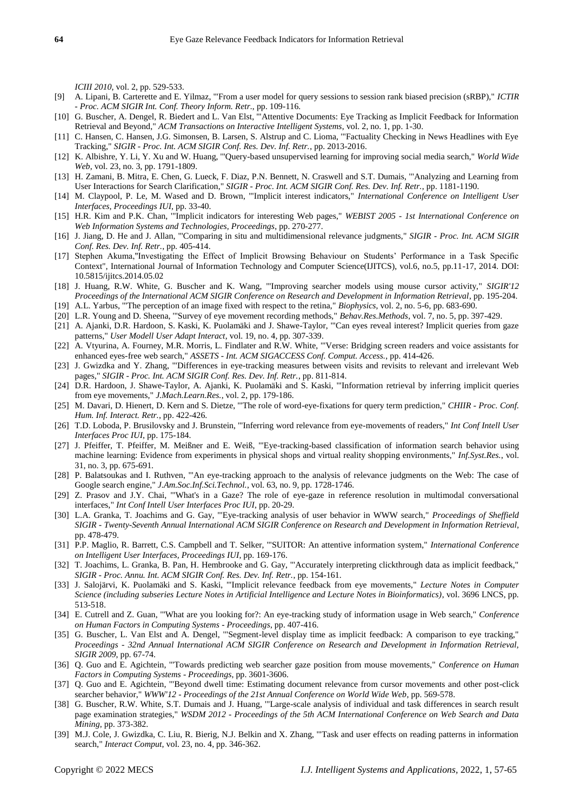*ICIII 2010*, vol. 2, pp. 529-533.

- [9] A. Lipani, B. Carterette and E. Yilmaz, '"From a user model for query sessions to session rank biased precision (sRBP)," *ICTIR - Proc. ACM SIGIR Int. Conf. Theory Inform. Retr.*, pp. 109-116.
- [10] G. Buscher, A. Dengel, R. Biedert and L. Van Elst, '"Attentive Documents: Eye Tracking as Implicit Feedback for Information Retrieval and Beyond," *ACM Transactions on Interactive Intelligent Systems*, vol. 2, no. 1, pp. 1-30.
- [11] C. Hansen, C. Hansen, J.G. Simonsen, B. Larsen, S. Alstrup and C. Lioma, '"Factuality Checking in News Headlines with Eye Tracking," *SIGIR - Proc. Int. ACM SIGIR Conf. Res. Dev. Inf. Retr.*, pp. 2013-2016.
- [12] K. Albishre, Y. Li, Y. Xu and W. Huang, '"Query-based unsupervised learning for improving social media search," *World Wide Web*, vol. 23, no. 3, pp. 1791-1809.
- [13] H. Zamani, B. Mitra, E. Chen, G. Lueck, F. Diaz, P.N. Bennett, N. Craswell and S.T. Dumais, '"Analyzing and Learning from User Interactions for Search Clarification," *SIGIR - Proc. Int. ACM SIGIR Conf. Res. Dev. Inf. Retr.*, pp. 1181-1190.
- [14] M. Claypool, P. Le, M. Wased and D. Brown, '"Implicit interest indicators," *International Conference on Intelligent User Interfaces, Proceedings IUI*, pp. 33-40.
- [15] H.R. Kim and P.K. Chan, '"Implicit indicators for interesting Web pages," *WEBIST 2005 - 1st International Conference on Web Information Systems and Technologies, Proceedings*, pp. 270-277.
- [16] J. Jiang, D. He and J. Allan, '"Comparing in situ and multidimensional relevance judgments," *SIGIR - Proc. Int. ACM SIGIR Conf. Res. Dev. Inf. Retr.*, pp. 405-414.
- [17] Stephen Akuma,"Investigating the Effect of Implicit Browsing Behaviour on Students' Performance in a Task Specific Context", International Journal of Information Technology and Computer Science(IJITCS), vol.6, no.5, pp.11-17, 2014. DOI: 10.5815/ijitcs.2014.05.02
- [18] J. Huang, R.W. White, G. Buscher and K. Wang, '"Improving searcher models using mouse cursor activity," *SIGIR'12 Proceedings of the International ACM SIGIR Conference on Research and Development in Information Retrieval*, pp. 195-204.
- [19] A.L. Yarbus, '"The perception of an image fixed with respect to the retina," *Biophysics*, vol. 2, no. 5-6, pp. 683-690.
- [20] L.R. Young and D. Sheena, '"Survey of eye movement recording methods," *Behav.Res.Methods*, vol. 7, no. 5, pp. 397-429.
- [21] A. Ajanki, D.R. Hardoon, S. Kaski, K. Puolamäki and J. Shawe-Taylor, '"Can eyes reveal interest? Implicit queries from gaze patterns," *User Modell User Adapt Interact*, vol. 19, no. 4, pp. 307-339.
- [22] A. Vtyurina, A. Fourney, M.R. Morris, L. Findlater and R.W. White, '"Verse: Bridging screen readers and voice assistants for enhanced eyes-free web search," *ASSETS - Int. ACM SIGACCESS Conf. Comput. Access.*, pp. 414-426.
- [23] J. Gwizdka and Y. Zhang, '"Differences in eye-tracking measures between visits and revisits to relevant and irrelevant Web pages," *SIGIR - Proc. Int. ACM SIGIR Conf. Res. Dev. Inf. Retr.*, pp. 811-814.
- [24] D.R. Hardoon, J. Shawe-Taylor, A. Ajanki, K. Puolamäki and S. Kaski, '"Information retrieval by inferring implicit queries from eye movements," *J.Mach.Learn.Res.*, vol. 2, pp. 179-186.
- [25] M. Davari, D. Hienert, D. Kern and S. Dietze, '"The role of word-eye-fixations for query term prediction," *CHIIR - Proc. Conf. Hum. Inf. Interact. Retr.*, pp. 422-426.
- [26] T.D. Loboda, P. Brusilovsky and J. Brunstein, '"Inferring word relevance from eye-movements of readers," *Int Conf Intell User Interfaces Proc IUI*, pp. 175-184.
- [27] J. Pfeiffer, T. Pfeiffer, M. Meißner and E. Weiß, "Eye-tracking-based classification of information search behavior using machine learning: Evidence from experiments in physical shops and virtual reality shopping environments," *Inf.Syst.Res.*, vol. 31, no. 3, pp. 675-691.
- [28] P. Balatsoukas and I. Ruthven, '"An eye-tracking approach to the analysis of relevance judgments on the Web: The case of Google search engine," *J.Am.Soc.Inf.Sci.Technol.*, vol. 63, no. 9, pp. 1728-1746.
- [29] Z. Prasov and J.Y. Chai, '"What's in a Gaze? The role of eye-gaze in reference resolution in multimodal conversational interfaces," *Int Conf Intell User Interfaces Proc IUI*, pp. 20-29.
- [30] L.A. Granka, T. Joachims and G. Gay, '"Eye-tracking analysis of user behavior in WWW search," *Proceedings of Sheffield SIGIR - Twenty-Seventh Annual International ACM SIGIR Conference on Research and Development in Information Retrieval*, pp. 478-479.
- [31] P.P. Maglio, R. Barrett, C.S. Campbell and T. Selker, '"SUITOR: An attentive information system," *International Conference on Intelligent User Interfaces, Proceedings IUI*, pp. 169-176.
- [32] T. Joachims, L. Granka, B. Pan, H. Hembrooke and G. Gay, '"Accurately interpreting clickthrough data as implicit feedback," *SIGIR - Proc. Annu. Int. ACM SIGIR Conf. Res. Dev. Inf. Retr.*, pp. 154-161.
- [33] J. Salojärvi, K. Puolamäki and S. Kaski, '"Implicit relevance feedback from eye movements," *Lecture Notes in Computer Science (including subseries Lecture Notes in Artificial Intelligence and Lecture Notes in Bioinformatics)*, vol. 3696 LNCS, pp. 513-518.
- [34] E. Cutrell and Z. Guan, '"What are you looking for?: An eye-tracking study of information usage in Web search," *Conference on Human Factors in Computing Systems - Proceedings*, pp. 407-416.
- [35] G. Buscher, L. Van Elst and A. Dengel, '"Segment-level display time as implicit feedback: A comparison to eye tracking," *Proceedings - 32nd Annual International ACM SIGIR Conference on Research and Development in Information Retrieval, SIGIR 2009*, pp. 67-74.
- [36] Q. Guo and E. Agichtein, '"Towards predicting web searcher gaze position from mouse movements," *Conference on Human Factors in Computing Systems - Proceedings*, pp. 3601-3606.
- [37] Q. Guo and E. Agichtein, '"Beyond dwell time: Estimating document relevance from cursor movements and other post-click searcher behavior," *WWW'12 - Proceedings of the 21st Annual Conference on World Wide Web*, pp. 569-578.
- [38] G. Buscher, R.W. White, S.T. Dumais and J. Huang, '"Large-scale analysis of individual and task differences in search result page examination strategies," *WSDM 2012 - Proceedings of the 5th ACM International Conference on Web Search and Data Mining*, pp. 373-382.
- [39] M.J. Cole, J. Gwizdka, C. Liu, R. Bierig, N.J. Belkin and X. Zhang, '"Task and user effects on reading patterns in information search," *Interact Comput*, vol. 23, no. 4, pp. 346-362.